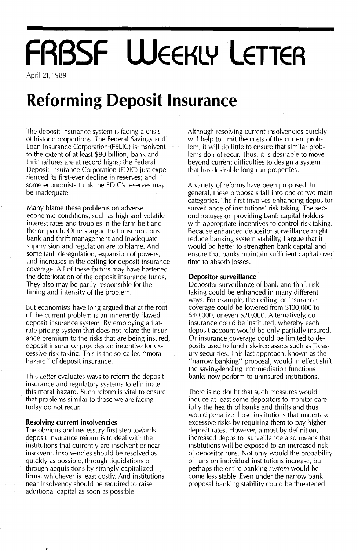# **FRBSF WEEKLY LETTER**

April 21, 1989

## **Reforming Deposit Insurance**

The deposit insurance system is facing a crisis of historic proportions. The Federal Savings and Loan Insurance Corporation (FSLlC) is insolvent to the extent of at least \$90 billion; bank and thrift failures are at record highs; the Federal Deposit Insurance Corporation (FDIC) just experienced its first-ever decline in reserves; and some economists think the FDIC's reserves may be inadequate.

Many blame these problems on adverse economic conditions, such as high and volatile interest rates and troubles in the farm belt and the oil patch. Others argue that unscrupulous bank and thrift management and inadequate supervision and regulation are to blame. And some fault deregulation, expansion of powers, and increases in the ceiling for deposit insurance coverage. All of these factors may have hastened the deterioration of the deposit insurance funds. They also may be partly responsible for the timing and intensity of the problem.

But economists have long argued that at the root of the current problem is an inherently flawed deposit insurance system. By employing a flatrate pricing system that does not relate the insurance premium to the risks that are being insured, deposit insurance provides an incentive for excessive risk taking. This is the so-called "moral hazard" of deposit insurance.

This Letter evaluates ways to reform the deposit insurance and regulatory systems to eliminate this moral hazard. Such reform is vital to ensure that problems similar to those we are facing today do not recur.

#### **Resolving current insolvencies**

The obvious and necessary first step towards deposit insurance reform is to deal with the institutions that currently are insolvent or nearinsolvent. Insolvencies should be resolved as quickly as possible, through liquidations or through acquisitions by strongly capitalized firms, whichever is least costly. And institutions near insolvency should be required to raise additional capital as soon as possible.

Although resolving current insolvencies quickly will help to limit the costs of the current problem, it will do little to ensure that similar problems do not recur. Thus, it is desirable to move beyond current difficulties to design a system that has desirable long-run properties.

A variety of reforms have been proposed. In general, these proposals fall into one of two main categories. The first involves enhancing depositor surveillance of institutions' risk taking. The second focuses on providing bank capital holders with appropriate incentives to control risk taking. Because enhanced depositor surveillance might reduce banking system stability, I argue that it would be better to strengthen bank capital and ensure that banks maintain sufficient capital over time to absorb losses.

#### **Depositor surveillance**

Depositor surveillance of bank and thrift risk taking could be enhanced in many different ways. For example, the ceiling for insurance coverage could be lowered from \$100,000 to \$40,000, or even \$20,000. Alternatively, coinsurance could be instituted, whereby each deposit account would be only partially insured. Or insurance coverage could be limited to deposits used to fund risk-free assets such as Treasury securities. This last approach, known as the "narrow banking" proposal, would in effect shift the saving-lending intermediation functions banks now perform to uninsured institutions.

There is no doubt that such measures would induce at least some depositors to monitor carefully the health of banks and thrifts and thus would penalize those institutions that undertake excessive risks by requiring them to pay higher deposit rates. However, almost by definition, increased depositor surveillance also means that institutions will be exposed to an increased risk of depositor runs. Not only would the probability of runs on individual institutions increase, but perhaps the entire banking system would become less stable. Even under the narrow bank proposal banking stability could be threatened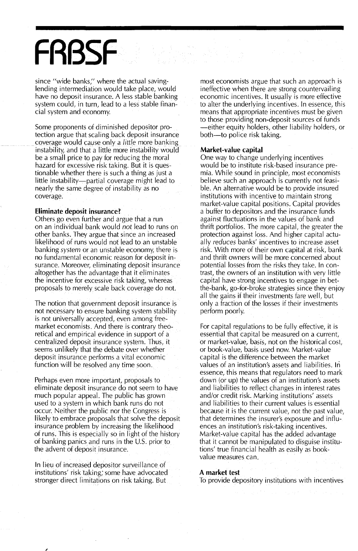## **FRBSF**

since "wide banks," where the actual savinglending intermediation would take place, would have no deposit insurance. A less stable banking system could, in turn, lead to a less stable financial system and economy.

Some proponents of diminished depositor protection argue that scaling back deposit insurance coverage would cause only a *little* more banking instability, and that a little more instability would be a small price to pay for reducing the moral hazard for excessive risk taking. But it is questionable whether there is such a thing as just a little instability-partial coverage might lead to nearly the same degree of instability as no coverage.

#### **Eliminate deposit insurance?**

Others go even further and argue that a run on an individual bank would *not* lead to runs on other banks. They argue that since an increased likelihood of runs would not lead to an unstable banking *system* or an unstable economy, there is no fundamental economic reason for deposit insurance. Moreover, eliminating deposit insurance altogether has the advantage that it eliminates the incentive for excessive risk taking, whereas proposals to merely scale back coverage do not.

The notion that government deposit insurance is not necessary to ensure banking system stability is not universally accepted, even among freemarket economists. And there is contrary theoretical and empirical evidence in support of a centralized deposit insurance system. Thus, it seems unlikely that the debate over whether deposit insurance performs a vital economic function will be resolved any time soon.

Perhaps even more important, proposals to eliminate deposit insurance do not seem to have much popular appeal. The public has grown used to a system in which bank runs do not occur. Neither the public nor the Congress is likely to embrace proposals that solve the deposit insurance problem by increasing the likelihood of runs. This is especially so in light of the history of banking panics and runs in the U.S. prior to the advent of deposit insurance.

In lieu of increased depositor surveillance of institutions' risk taking; some have advocated stronger direct limitations on risk taking. But

most economists argue that such an approach is ineffective when there are strong countervailing economic incentives. It usually is more effective to alter the underlying incentives. In essence, this means that appropriate incentives must be given to those providing non-deposit sources of funds -either equity holders, other liability holders, or both-to police risk taking.

#### **Market-value capital**

One way to change underlying incentives would be to institute risk-based insurance premia. While sound in principle, most economists believe such an approach is currently not feasible. An alternative would be to provide insured institutions with incentive to maintain strong market-value capital positions. Capital provides a buffer to depositors and the insurance funds against fluctuations in the values of bank and thrift portfolios. The more capital, the greater the protection against loss. And higher capital actually *reduces* banks' incentives to increase asset risk. With more of their own capital at risk, bank and thrift owners will be more concerned about potential losses from the risks they take. In contrast, the owners of an institution with very little capital have strong incentives to engage in betthe-bank, go-for-broke strategies since they enjoy all the gains if their investments fare well, but only a fraction of the losses if their investments perform poorly.

For capital regulations to be fully effective, it is essential that capital be measured on a current, or market-value, basis, not on the historical cost, or book-value, basis used now. Market-value capital is the difference between the market values of an institution's assets and liabilities. In essence, this means that regulators need to mark down (or up) the values of an institution's assets and IiabiIities to reflect changes in interest rates and/or credit risk. Marking institutions' assets and liabilities to their current values is essential because it is the current value, not the past value, that determines the insurer's exposure and influences an institution's risk-taking incentives. Market-value capital has the added advantage that it cannot be manipulated to disguise institutions' true financial health as easily as bookvalue measures can.

#### **A market test**

To provide depository institutions with incentives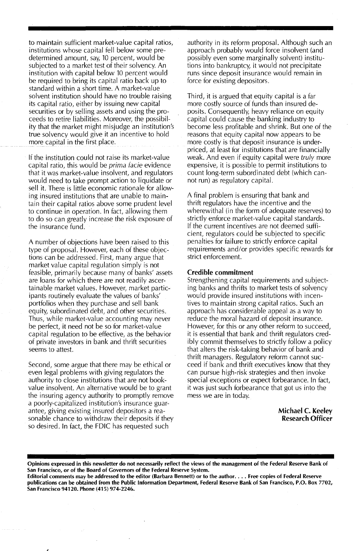to maintain sufficient market-value capital ratios, institutions whose capital fell below some predetermined amount, say, 10 percent, would be subjected to a market test of their solvency. An institution with capital below 10 percent would be required to bring its capital ratio back up to standard within a short time. A market-value solvent institution should have no trouble raising its capital ratio, either by issuing new capital securities or by selling assets and using the proceeds to retire liabilities. Moreover, the possibility that the market might misjudge an institution's true solvency would give it an incentive to hold more capital in the first place.

If the institution could not raise its market-value capital ratio, this would be prima facie evidence that it was market-value insolvent, and regulators would need to take prompt action to liquidate or sell it. There is little economic rationale for allowing insured institutions that are unable to maintain their capital ratios above some prudent level to continue in operation. In fact, allowing them to do so can greatly increase the risk exposure of the insurance fund.

A number of objections have been raised to this type of proposal. However, each of these objections can be addressed. First, many argue that market value capital regulation simply is not feasible, primarily because many of banks' assets are loans for which there are not readily ascertainable market values. However, market participants routinely evaluate the values of banks' portfolios when they purchase and sell bank equity, subordinated debt, and other securities. Thus, while market-value accounting may never be perfect, it need not be so for market-value capital regulation to be effective, as the behavior of private investors in bank and thrift securities seems to attest.

Second, some argue that there may be ethical or even legal problems with giving regulators the authority to close institutions that are not bookvalue insolvent. An alternative would be to grant the insuring agency authority to promptly remove a poorly-capitalized institution's insurance guarantee, giving existing insured depositors a reasonable chance to withdraw their deposits if they so desired. In fact, the FDIC has requested such

authority in its reform proposal. Although such an approach probably would force insolvent (and possibly even some marginally solvent) institutions into bankruptcy, it would not precipitate runs since deposit insurance would remain in force for existing depositors.

Third, it is argued that equity capital is a far more costly source of funds than insured deposits. Consequently, heavy reliance on equity capital could cause the banking industry to become less profitable and shrink. But one of the reasons that equity capital now appears to be more costly is that deposit insurance is underpriced, at least for institutions that are financially weak. And even if equity capital were *truly* more expensive, it is possible to permit institutions to count long-term subordinated debt (which cannot run) as regulatory capital.

A final problem is ensuring that bank and thrift regulators have the incentive and the wherewithal (in the form of adequate reserves) to strictly enforce market-value capital standards. If the current incentives are not deemed sufficient, regulators could be subjected to specific penalties for failure to strictly enforce capital requirements and/or provides specific rewards for strict enforcement.

#### Credible commitment

Strengthening capital requirements and subjecting banks and thrifts to market tests of solvency would provide insured institutions with incentives to maintain strong capital ratios. Such an approach has considerable appeal as a way to reduce the moral hazard of deposit insurance. However, for this or any other reform to succeed, it is essential that bank and thrift regulators credibly commit themselves to strictly follow a policy that alters the risk-taking behavior of bank and thrift managers. Regulatory reform cannot succeed if bank and thrift executives know that they can pursue high-risk strategies and then invoke special exceptions or expect forbearance. In fact, it was just such forbearance that got us into the mess we are in today.

> Michael C. Keeley Research Officer

Opinions expressed in this newsletter do not necessarily reflect the views of the management of the Federal Reserve Bank of San Francisco, or of the Board of Governors of the Federal Reserve System.

Editorial comments may be addressed to the editor (Barbara Bennett) or to the author.... Free copies of Federal Reserve publications can be obtained from the Public Information Department, Federal Reserve Bank of San Francisco, P.O. Box 7702, San Francisco 94120. Phone (415) 974-2246.